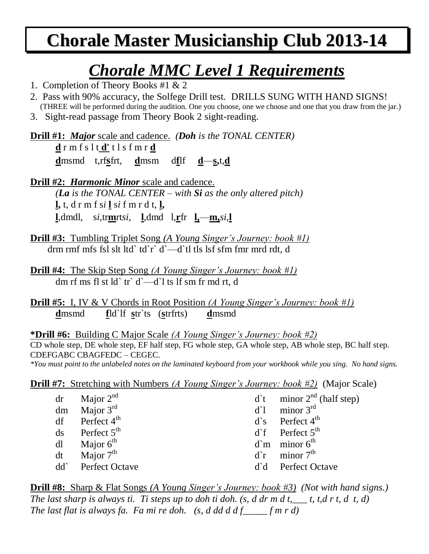## **Chorale Master Musicianship Club 2013-14**

#### *Chorale MMC Level 1 Requirements*

- 1. Completion of Theory Books #1 & 2
- 2. Pass with 90% accuracy, the Solfege Drill test. DRILLS SUNG WITH HAND SIGNS! (THREE will be performed during the audition. One you choose, one we choose and one that you draw from the jar.)
- 3. Sight-read passage from Theory Book 2 sight-reading.

**Drill #1:** *Major* scale and cadence. *(Doh is the TONAL CENTER)* **d** r m f s l t **d'** t l s f m r **d d**msmd t,rf**s**frt, **d**msm d**f**lf **d**—**s,**t,**d**

**Drill #2:** *Harmonic Minor* scale and cadence. *(La is the TONAL CENTER – with Si as the only altered pitch)* **l,** t, d r m f s*i* **l** s*i* f m r d t, **l, l**,dmdl, s*i,*tr**m**rt*si,* **l**,dmd l,**r**fr **l,**—**m,***si,***l**

**Drill #3:** Tumbling Triplet Song *(A Young Singer's Journey: book #1)* drm rmf mfs fsl slt ltd` td`r` d`—d`tl tls lsf sfm fmr mrd rdt, d

**Drill #4:** The Skip Step Song *(A Young Singer's Journey: book #1)* dm rf ms fl st ld` tr` d`—d`l ts lf sm fr md rt, d

**Drill #5:** I, IV & V Chords in Root Position *(A Young Singer's Journey: book #1)* **d**msmd **f**ld`lf **s**tr`ts (**s**trfrts) **d**msmd

**\*Drill #6:** Building C Major Scale *(A Young Singer's Journey: book #2)* CD whole step, DE whole step, EF half step, FG whole step, GA whole step, AB whole step, BC half step. CDEFGABC CBAGFEDC – CEGEC. *\*You must point to the unlabeled notes on the laminated keyboard from your workbook while you sing. No hand signs.*

**Drill #7:** Stretching with Numbers *(A Young Singer's Journey: book #2)* (Major Scale)

| $dr$ Major $2^{nd}$          | $d^{\text{th}}$ minor $2^{\text{nd}}$ (half step) |
|------------------------------|---------------------------------------------------|
| dm Major $3rd$               | $d^1$ minor 3 <sup>rd</sup>                       |
| $df$ Perfect 4 <sup>th</sup> | $d$ 's Perfect 4 <sup>th</sup>                    |
| $ds$ Perfect $5th$           | $d^{\text{th}}$ Perfect $5^{\text{th}}$           |
| $dl$ Major $6th$             | $d$ `m minor $6th$                                |
| dt Major $7th$               | $d^r$ minor $7th$                                 |
| dd` Perfect Octave           | d'd Perfect Octave                                |

**Drill #8:** Sharp & Flat Songs *(A Young Singer's Journey: book #3) (Not with hand signs.) The last sharp is always ti. Ti steps up to doh ti doh. (s, d dr m d t,\_\_\_ t, t,d r t, d t, d) The last flat is always fa. Fa mi re doh. (s, d dd d d f\_\_\_\_\_ f m r d)*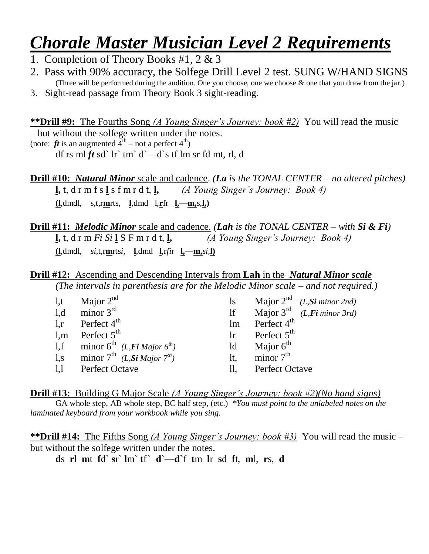### *Chorale Master Musician Level 2 Requirements*

- 1. Completion of Theory Books #1, 2 & 3
- 2. Pass with 90% accuracy, the Solfege Drill Level 2 test. SUNG W/HAND SIGNS (Three will be performed during the audition. One you choose, one we choose & one that you draw from the jar.)
- 3. Sight-read passage from Theory Book 3 sight-reading.

**\*\*Drill #9:** The Fourths Song *(A Young Singer's Journey: book #2)* You will read the music – but without the solfege written under the notes. (note:  $ft$  is an augmented  $4<sup>th</sup>$  – not a perfect  $4<sup>th</sup>$ ) df rs ml  $ft$  sd` lr` tm` d`—d`s tf lm sr fd mt, rl, d

**Drill #10:** *Natural Minor* scale and cadence. *(La is the TONAL CENTER – no altered pitches)* **l,** t, d r m f s **l** s f m r d t, **l,** *(A Young Singer's Journey: Book 4)* **(l**,dmdl, s,t,r**m**rts, **l**,dmd l,**r**fr **l,**—**m,**s,**l,)**

**Drill #11:** *Melodic Minor* scale and cadence. *(Lah is the TONAL CENTER – with Si & Fi)* **l**, t, d r m *Fi* Si **l** S F m r d t, **l**,  $\overline{A}$  *(A Young Singer's Journey: Book 4)* **(l**,dmdl*, si,*t,r**m**rts*i,* **l**,dmd **l**,r*fi*r **l,**—**m,***si,***l)**

**Drill #12:** Ascending and Descending Intervals from **Lah** in the *Natural Minor scale (The intervals in parenthesis are for the Melodic Minor scale – and not required.)*

| 1, t | Major $2^{nd}$                                             | <sup>1</sup> s | Major $2^{nd}$ ( <i>L, Si minor 2nd</i> )        |
|------|------------------------------------------------------------|----------------|--------------------------------------------------|
| 1,d  | minor $3rd$                                                | If             | Major $3^{\text{rd}}$ ( <i>L, Fi minor 3rd</i> ) |
|      | 1,r Perfect $4^{\text{th}}$                                | lm             | Perfect $4^{\text{th}}$                          |
|      | 1,m Perfect $5th$                                          | $\ln$          | Perfect $5th$                                    |
|      | 1,f minor $6^{th}$ ( <i>L,Fi Major</i> $6^{th}$ )          | ld             | Major $6th$                                      |
|      | 1,s minor $7^{th}$ ( <i>L</i> , <i>Si Major</i> $7^{th}$ ) | It.            | minor $7th$                                      |
|      | 1,1 Perfect Octave                                         | П,             | <b>Perfect Octave</b>                            |

**Drill #13:** Building G Major Scale *(A Young Singer's Journey: book #2)(No hand signs)* GA whole step, AB whole step, BC half step, (etc.) *\*You must point to the unlabeled notes on the laminated keyboard from your workbook while you sing.*

**\*\*Drill #14:** The Fifths Song *(A Young Singer's Journey: book #3)* You will read the music – but without the solfege written under the notes.

**d**s **r**l **m**t **f**d` **s**r` **l**m` **t**f` **d**` $-d$ <sup>t</sup> **f** m **l**r **s**d **f**t, **m**l, **r**s, **d**